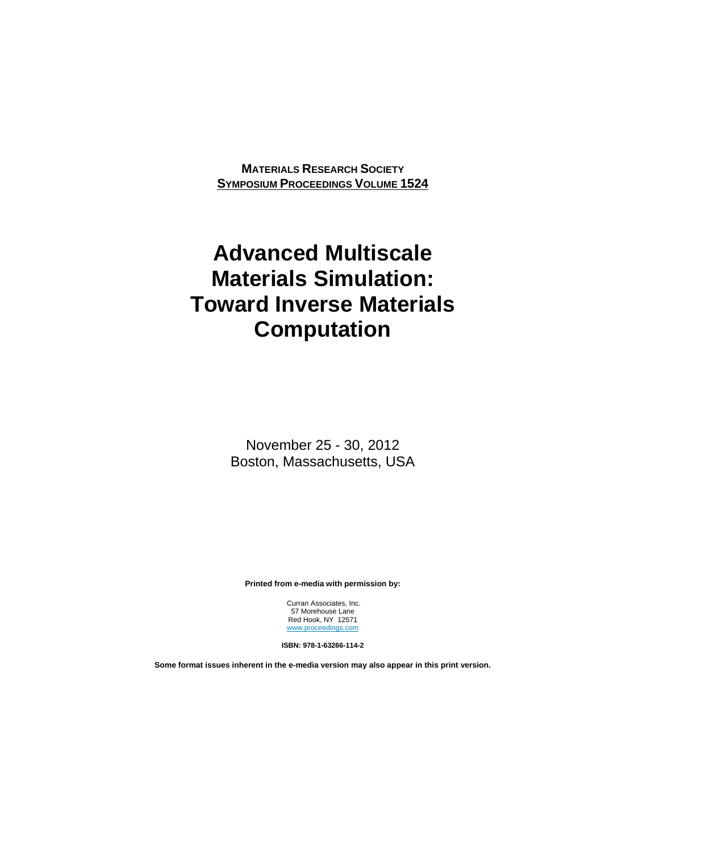**MATERIALS RESEARCH SOCIETY SYMPOSIUM PROCEEDINGS VOLUME 1524**

# **Advanced Multiscale Materials Simulation: Toward Inverse Materials Computation**

November 25 - 30, 2012 Boston, Massachusetts, USA

**Printed from e-media with permission by:** 

 Curran Associates, Inc. 57 Morehouse Lane Red Hook, NY 12571 www.proceedings.com

**ISBN: 978-1-63266-114-2** 

**Some format issues inherent in the e-media version may also appear in this print version.**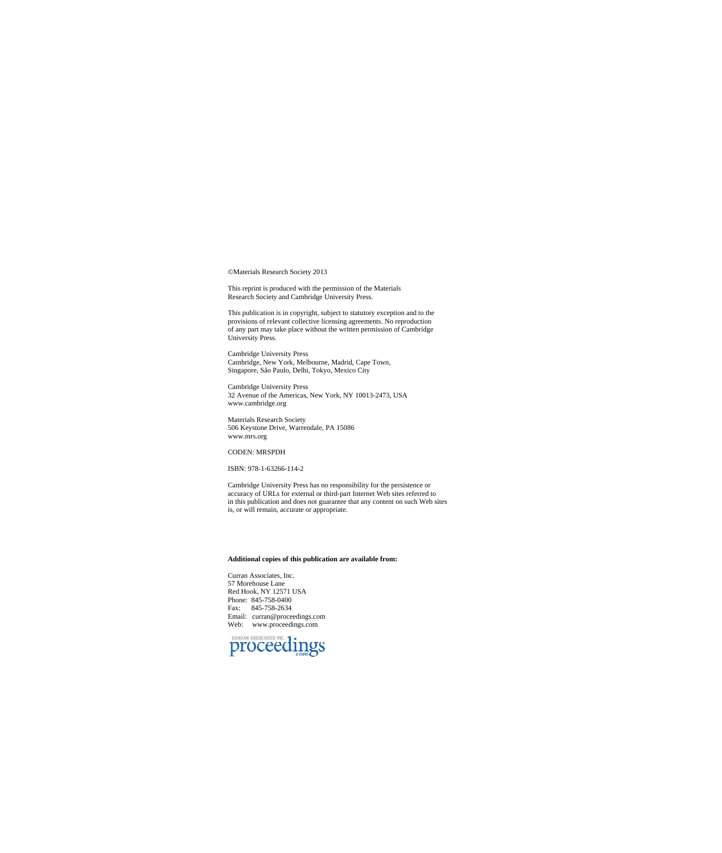©Materials Research Society 2013

This reprint is produced with the permission of the Materials Research Society and Cambridge University Press.

This publication is in copyright, subject to statutory exception and to the provisions of relevant collective licensing agreements. No reproduction of any part may take place without the written permission of Cambridge Uni

Cambridge University Press Cambridge, New York, Melbourne, Madrid, Cape Town, Singapore, São Paulo, Delhi, Tokyo, Mexico City

Cambridge University Press 32 Avenue of the Americas, New York, NY 10013-2473, USA www.cambridge.org

Materials Research Society 506 Keystone Drive, Warrendale, PA 15086 www.mrs.org

### CODEN: MRSPDH

#### ISBN: 978-1-63266-114-2

Cambridge University Press has no responsibility for the persistence or accuracy of URLs for external or third-part Internet Web sites referred to in this publication and does not guarantee that any content on such Web sites is, or will remain, accurate or appropriate.

#### **Additional copies of this publication are available from:**

Curran Associates, Inc. 57 Morehouse Lane Red Hook, NY 12571 USA Phone: 845-758-0400 Fax: 845-758-2634 Email: curran@proceedings.com Web: www.proceedings.com